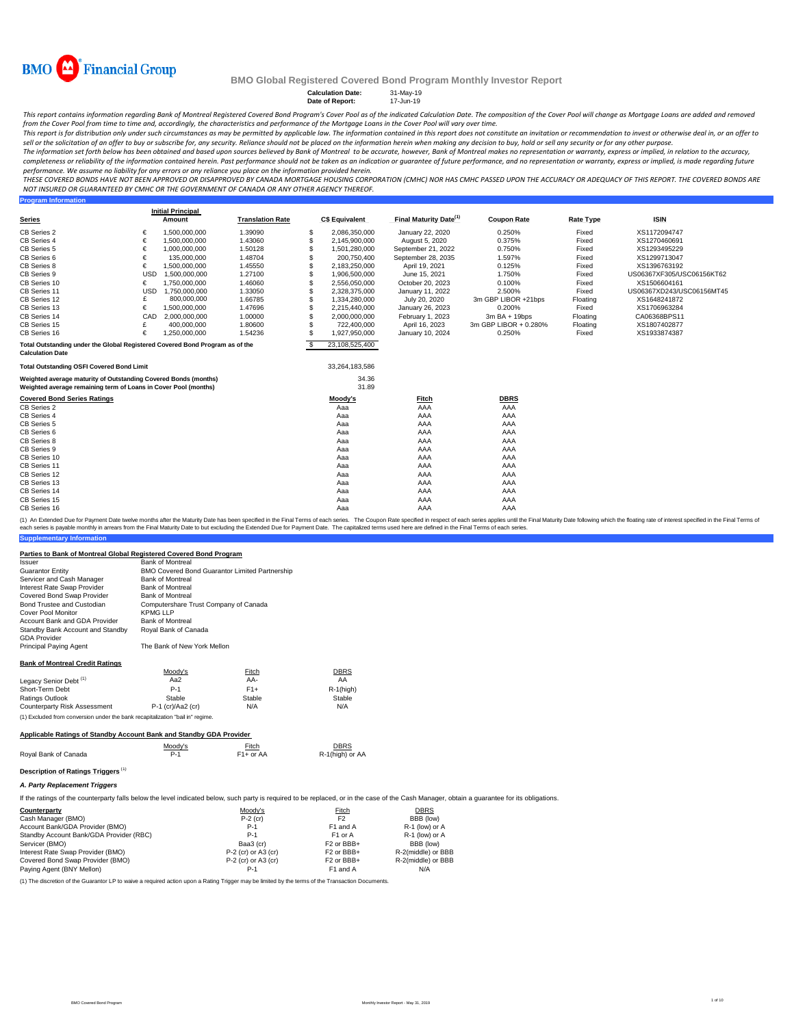

**Calculation Date:** 31-May-19<br> **Date of Report:** 17-Jun-19 **Date of Report:** 

This report contains information regarding Bank of Montreal Registered Covered Bond Program's Cover Pool as of the indicated Calculation Date. The composition of the Cover Pool will change as Mortgage Loans are added and r *from the Cover Pool from time to time and, accordingly, the characteristics and performance of the Mortgage Loans in the Cover Pool will vary over time.*

.<br>This report is for distribution only under such circumstances as may be permitted by applicable law. The information contained in this report does not constitute an invitation or recommendation to invest or otherwise dea *sell or the solicitation of an offer to buy or subscribe for, any security. Reliance should not be placed on the information herein when making any decision to buy, hold or sell any security or for any other purpose.*

The information set forth below has been obtained and based upon sources believed by Bank of Montreal to be accurate, however, Bank of Montreal makes no representation or warranty, express or implied, in relation to the ac completeness or reliability of the information contained herein. Past performance should not be taken as an indication or auarantee of future performance, and no representation or warranty, express or implied, is made rega *performance. We assume no liability for any errors or any reliance you place on the information provided herein.*

*THESE COVERED BONDS HAVE NOT BEEN APPROVED OR DISAPPROVED BY CANADA MORTGAGE HOUSING CORPORATION (CMHC) NOR HAS CMHC PASSED UPON THE ACCURACY OR ADEQUACY OF THIS REPORT. THE COVERED BONDS ARE NOT INSURED OR GUARANTEED BY CMHC OR THE GOVERNMENT OF CANADA OR ANY OTHER AGENCY THEREOF.*<br>Program Information

| <b>Program Information</b>                                                   |            |                          |                         |    |                       |                                    |                       |                  |                           |  |
|------------------------------------------------------------------------------|------------|--------------------------|-------------------------|----|-----------------------|------------------------------------|-----------------------|------------------|---------------------------|--|
|                                                                              |            | <b>Initial Principal</b> |                         |    |                       | Final Maturity Date <sup>(1)</sup> |                       |                  |                           |  |
| <b>Series</b>                                                                |            | Amount                   | <b>Translation Rate</b> |    | <b>C\$ Equivalent</b> |                                    | <b>Coupon Rate</b>    | <b>Rate Type</b> | <b>ISIN</b>               |  |
| <b>CB Series 2</b>                                                           | €          | 1,500,000,000            | 1.39090                 | S  | 2,086,350,000         | January 22, 2020                   | 0.250%                | Fixed            | XS1172094747              |  |
| CB Series 4                                                                  | €          | 1,500,000,000            | 1.43060                 | S  | 2,145,900,000         | August 5, 2020                     | 0.375%                | Fixed            | XS1270460691              |  |
| CB Series 5                                                                  | €          | 1,000,000,000            | 1.50128                 | S  | 1,501,280,000         | September 21, 2022                 | 0.750%                | Fixed            | XS1293495229              |  |
| CB Series 6                                                                  | €          | 135,000,000              | 1.48704                 | S  | 200,750,400           | September 28, 2035                 | 1.597%                | Fixed            | XS1299713047              |  |
| CB Series 8                                                                  | €          | 1,500,000,000            | 1.45550                 | S  | 2,183,250,000         | April 19, 2021                     | 0.125%                | Fixed            | XS1396763192              |  |
| CB Series 9                                                                  | <b>USD</b> | 1,500,000,000            | 1.27100                 | S  | 1,906,500,000         | June 15, 2021                      | 1.750%                | Fixed            | US06367XF305/USC06156KT62 |  |
| CB Series 10                                                                 | €          | 1,750,000,000            | 1.46060                 | S  | 2,556,050,000         | October 20, 2023                   | 0.100%                | Fixed            | XS1506604161              |  |
| CB Series 11                                                                 | <b>USD</b> | 1,750,000,000            | 1.33050                 | S  | 2,328,375,000         | January 11, 2022                   | 2.500%                | Fixed            | US06367XD243/USC06156MT45 |  |
| CB Series 12                                                                 | £          | 800,000,000              | 1.66785                 | S  | 1,334,280,000         | July 20, 2020                      | 3m GBP LIBOR +21bps   | Floating         | XS1648241872              |  |
| CB Series 13                                                                 | €          | 1,500,000,000            | 1.47696                 | S  | 2,215,440,000         | January 26, 2023                   | 0.200%                | Fixed            | XS1706963284              |  |
| CB Series 14                                                                 | CAD        | 2,000,000,000            | 1.00000                 | S  | 2,000,000,000         | February 1, 2023                   | $3mBA + 19bps$        | Floating         | CA06368BPS11              |  |
| CB Series 15                                                                 | £          | 400,000,000              | 1.80600                 | S  | 722,400,000           | April 16, 2023                     | 3m GBP LIBOR + 0.280% | Floating         | XS1807402877              |  |
| CB Series 16                                                                 | €          | 1,250,000,000            | 1.54236                 |    | 1,927,950,000         | January 10, 2024                   | 0.250%                | Fixed            | XS1933874387              |  |
| Total Outstanding under the Global Registered Covered Bond Program as of the |            |                          |                         | £. | 23,108,525,400        |                                    |                       |                  |                           |  |
| <b>Calculation Date</b>                                                      |            |                          |                         |    |                       |                                    |                       |                  |                           |  |
| <b>Total Outstanding OSFI Covered Bond Limit</b>                             |            |                          |                         |    | 33,264,183,586        |                                    |                       |                  |                           |  |
| Weighted average maturity of Outstanding Covered Bonds (months)              |            |                          |                         |    | 34.36                 |                                    |                       |                  |                           |  |
| Weighted average remaining term of Loans in Cover Pool (months)              |            |                          |                         |    | 31.89                 |                                    |                       |                  |                           |  |
| <b>Covered Bond Series Ratings</b>                                           |            |                          |                         |    | Moody's               | Fitch                              | <b>DBRS</b>           |                  |                           |  |
| CB Series 2                                                                  |            |                          |                         |    | Aaa                   | AAA                                | AAA                   |                  |                           |  |
| CB Series 4                                                                  |            |                          |                         |    | Aaa                   | AAA                                | AAA                   |                  |                           |  |
| CB Series 5                                                                  |            |                          |                         |    | Aaa                   | AAA                                | AAA                   |                  |                           |  |
| CB Series 6                                                                  |            |                          |                         |    | Aaa                   | AAA                                | AAA                   |                  |                           |  |
| CB Series 8                                                                  |            |                          |                         |    | Aaa                   | AAA                                | AAA                   |                  |                           |  |
| CB Series 9                                                                  |            |                          |                         |    | Aaa                   | AAA                                | AAA                   |                  |                           |  |
| CB Series 10                                                                 |            |                          |                         |    | Aaa                   | AAA                                | AAA                   |                  |                           |  |
| CB Series 11                                                                 |            |                          |                         |    | Aaa                   | AAA                                | AAA                   |                  |                           |  |
| CB Series 12                                                                 |            |                          |                         |    | Aaa                   | AAA                                | AAA                   |                  |                           |  |
| CB Series 13                                                                 |            |                          |                         |    | Aaa                   | AAA                                | AAA                   |                  |                           |  |
| CB Series 14                                                                 |            |                          |                         |    | Aaa                   | AAA                                | AAA                   |                  |                           |  |
| CB Series 15                                                                 |            |                          |                         |    | Aaa                   | AAA                                | AAA                   |                  |                           |  |
| CB Series 16                                                                 |            |                          |                         |    | Aaa                   | AAA                                | AAA                   |                  |                           |  |

**Supplementary Information** (1) An Extended Due for Payment Date twelve months after the Maturity Date has been specified in the Final Terms of each series. The Coupon Rate specified in tespect of each series applies until the Final Maturity Date fol each series is payable monthly in arrears from the Final Maturity Date to but excluding the Extended Due for Payment Date. The capitalized terms used here are defined in the Final Terms of each series.

#### **Parties to Bank of Montreal Global Registered Covered Bond Program**

| Parties to Bank of Montreal Global Registered Covered Bond Program                                                                                                                           |                                                |                        |                 |  |  |  |  |  |  |  |
|----------------------------------------------------------------------------------------------------------------------------------------------------------------------------------------------|------------------------------------------------|------------------------|-----------------|--|--|--|--|--|--|--|
| Issuer                                                                                                                                                                                       | <b>Bank of Montreal</b>                        |                        |                 |  |  |  |  |  |  |  |
| Guarantor Entity                                                                                                                                                                             | BMO Covered Bond Guarantor Limited Partnership |                        |                 |  |  |  |  |  |  |  |
| Servicer and Cash Manager                                                                                                                                                                    | <b>Bank of Montreal</b>                        |                        |                 |  |  |  |  |  |  |  |
| Interest Rate Swap Provider                                                                                                                                                                  | <b>Bank of Montreal</b>                        |                        |                 |  |  |  |  |  |  |  |
| Covered Bond Swap Provider                                                                                                                                                                   | <b>Bank of Montreal</b>                        |                        |                 |  |  |  |  |  |  |  |
| <b>Bond Trustee and Custodian</b>                                                                                                                                                            | Computershare Trust Company of Canada          |                        |                 |  |  |  |  |  |  |  |
| Cover Pool Monitor                                                                                                                                                                           | <b>KPMG LLP</b>                                |                        |                 |  |  |  |  |  |  |  |
| Account Bank and GDA Provider                                                                                                                                                                | <b>Bank of Montreal</b>                        |                        |                 |  |  |  |  |  |  |  |
| Standby Bank Account and Standby<br><b>GDA Provider</b>                                                                                                                                      | Roval Bank of Canada                           |                        |                 |  |  |  |  |  |  |  |
| Principal Paying Agent                                                                                                                                                                       | The Bank of New York Mellon                    |                        |                 |  |  |  |  |  |  |  |
| <b>Bank of Montreal Credit Ratings</b>                                                                                                                                                       |                                                |                        |                 |  |  |  |  |  |  |  |
|                                                                                                                                                                                              | Moody's                                        | Fitch                  | <b>DBRS</b>     |  |  |  |  |  |  |  |
| Legacy Senior Debt <sup>(1)</sup>                                                                                                                                                            | Aa $2$                                         | AA-                    | AA              |  |  |  |  |  |  |  |
| Short-Term Debt                                                                                                                                                                              | $P-1$                                          | $F1+$                  | $R-1$ (high)    |  |  |  |  |  |  |  |
| Ratings Outlook                                                                                                                                                                              | Stable                                         | Stable                 | Stable          |  |  |  |  |  |  |  |
| Counterparty Risk Assessment                                                                                                                                                                 | $P-1$ (cr)/Aa2 (cr)                            | N/A                    | N/A             |  |  |  |  |  |  |  |
| (1) Excluded from conversion under the bank recapitalization "bail in" regime.                                                                                                               |                                                |                        |                 |  |  |  |  |  |  |  |
| Applicable Ratings of Standby Account Bank and Standby GDA Provider                                                                                                                          |                                                |                        |                 |  |  |  |  |  |  |  |
|                                                                                                                                                                                              | Moody's                                        | Fitch                  | <b>DBRS</b>     |  |  |  |  |  |  |  |
| Royal Bank of Canada                                                                                                                                                                         | $P-1$                                          | F <sub>1</sub> + or AA | R-1(high) or AA |  |  |  |  |  |  |  |
| Description of Ratings Triggers (1)                                                                                                                                                          |                                                |                        |                 |  |  |  |  |  |  |  |
| A. Party Replacement Triggers                                                                                                                                                                |                                                |                        |                 |  |  |  |  |  |  |  |
| If the ratings of the counterparty falls below the level indicated below, such party is required to be replaced, or in the case of the Cash Manager, obtain a quarantee for its obligations. |                                                |                        |                 |  |  |  |  |  |  |  |

Counterparty Moody's Fitch D<u>BRS</u><br>Cash Manager (BMO) P-2 (cr) P-2 (cr)<br>Account Bank/GDA Provider (RMO) P-1 F1 or A R-1 (low) or A<br>Standby Account Bank/GDA Provider (RBC) P-1 F1 or A R-1 (low) or A Servicer (BMO)<br>
Servicer (BMO) Baa3 (cr) F2 or BBB+ BBB (low)<br>
Interest Rate Swap Provider (BMO) P-2 (cr) or A3 (cr) F2 or BBB+ R-2 (middle) or BBB Interest Rate Swap Provider (BMO) P-2 (cr) or A3 (cr) F2 or BBB+ R-2(middle) or BBB Covered Bond Swap Provider (BMO) P-2 (cr) or A3 (cr) F2 or BBB+ R-2(middle) or BBB Paying Agent (BNY Mellon)

(1) The discretion of the Guarantor LP to waive a required action upon a Rating Trigger may be limited by the terms of the Transaction Documents.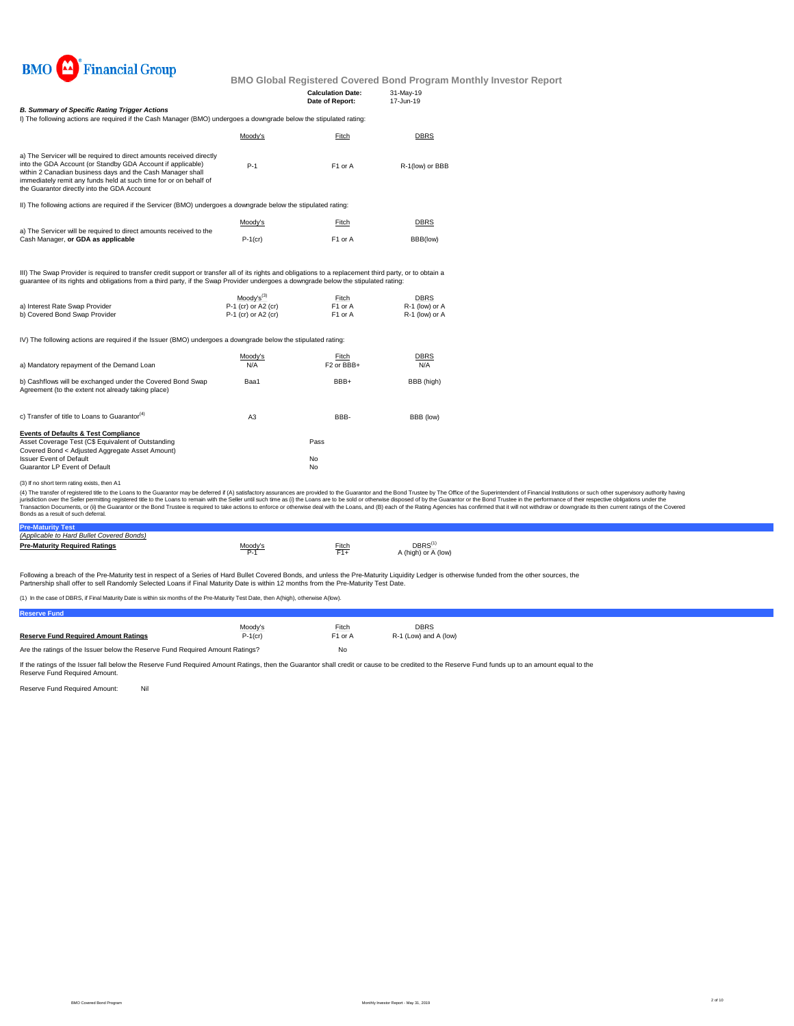

|                                                                                                                                                                                                                                                                                                                       |                        | <b>Calculation Date:</b><br>Date of Report: | 31-May-19<br>17-Jun-19 |
|-----------------------------------------------------------------------------------------------------------------------------------------------------------------------------------------------------------------------------------------------------------------------------------------------------------------------|------------------------|---------------------------------------------|------------------------|
| <b>B. Summary of Specific Rating Trigger Actions</b>                                                                                                                                                                                                                                                                  |                        |                                             |                        |
| I) The following actions are required if the Cash Manager (BMO) undergoes a downgrade below the stipulated rating:                                                                                                                                                                                                    |                        |                                             |                        |
|                                                                                                                                                                                                                                                                                                                       | Moody's                | Fitch                                       | <b>DBRS</b>            |
| a) The Servicer will be required to direct amounts received directly<br>into the GDA Account (or Standby GDA Account if applicable)<br>within 2 Canadian business days and the Cash Manager shall<br>immediately remit any funds held at such time for or on behalf of<br>the Guarantor directly into the GDA Account | $P-1$                  | F1 or A                                     | R-1(low) or BBB        |
| II) The following actions are required if the Servicer (BMO) undergoes a downgrade below the stipulated rating:                                                                                                                                                                                                       |                        |                                             |                        |
| a) The Servicer will be required to direct amounts received to the                                                                                                                                                                                                                                                    | Moody's                | Fitch                                       | <b>DBRS</b>            |
| Cash Manager, or GDA as applicable                                                                                                                                                                                                                                                                                    | $P-1$ (cr)             | F1 or A                                     | BBB(low)               |
| III) The Swap Provider is required to transfer credit support or transfer all of its rights and obligations to a replacement third party, or to obtain a<br>quarantee of its rights and obligations from a third party, if the Swap Provider undergoes a downgrade below the stipulated rating:                       |                        |                                             |                        |
|                                                                                                                                                                                                                                                                                                                       | Moody's <sup>(3)</sup> | Fitch                                       | <b>DBRS</b>            |
| a) Interest Rate Swap Provider                                                                                                                                                                                                                                                                                        | P-1 (cr) or A2 (cr)    | F1 or A                                     | R-1 (low) or A         |
| b) Covered Bond Swap Provider                                                                                                                                                                                                                                                                                         | P-1 (cr) or A2 (cr)    | F1 or A                                     | R-1 (low) or A         |
| IV) The following actions are required if the Issuer (BMO) undergoes a downgrade below the stipulated rating:                                                                                                                                                                                                         |                        |                                             |                        |
|                                                                                                                                                                                                                                                                                                                       | Moody's                | Fitch                                       | DBRS                   |
| a) Mandatory repayment of the Demand Loan                                                                                                                                                                                                                                                                             | N/A                    | F <sub>2</sub> or BBB+                      | N/A                    |
| b) Cashflows will be exchanged under the Covered Bond Swap<br>Agreement (to the extent not already taking place)                                                                                                                                                                                                      | Baa1                   | BBB+                                        | BBB (high)             |
| c) Transfer of title to Loans to Guarantor <sup>(4)</sup>                                                                                                                                                                                                                                                             | A3                     | BBB-                                        | BBB (low)              |
| <b>Events of Defaults &amp; Test Compliance</b><br>Asset Coverage Test (C\$ Equivalent of Outstanding                                                                                                                                                                                                                 |                        | Pass                                        |                        |
| Covered Bond < Adjusted Aggregate Asset Amount)<br><b>Issuer Event of Default</b>                                                                                                                                                                                                                                     |                        | No                                          |                        |
| Guarantor LP Event of Default                                                                                                                                                                                                                                                                                         |                        | No                                          |                        |

#### (3) If no short term rating exists, then A1

(4) The transfer of registered title to the Loans to the Guarantor may be deferred if (A) satisfactory assurances are provided to the Guarantor and the Bond Trustee by The Office of the Superintendent of Financial Institut Bonds as a result of such deferral.

| (Applicable to Hard Bullet Covered Bonds) |                           |       |                                          |
|-------------------------------------------|---------------------------|-------|------------------------------------------|
| <b>Pre-Maturity Required Ratings</b>      | Moody' <sup>,</sup><br>Ρ. | Fitch | DBRS <sup>(</sup><br>A (high) or A (low) |

Following a breach of the Pre-Maturity test in respect of a Series of Hard Bullet Covered Bonds, and unless the Pre-Maturity Liquidity Ledger is otherwise funded from the other sources, the<br>Partnership shall offer to sell

(1) In the case of DBRS, if Final Maturity Date is within six months of the Pre-Maturity Test Date, then A(high), otherwise A(low).

| <b>Reserve Fund</b>                                                           |            |                     |                       |
|-------------------------------------------------------------------------------|------------|---------------------|-----------------------|
|                                                                               | Moodv's    | Fitch               | <b>DBRS</b>           |
| <b>Reserve Fund Required Amount Ratings</b>                                   | $P-1$ (cr) | F <sub>1</sub> or A | R-1 (Low) and A (low) |
| Are the ratings of the Issuer below the Reserve Fund Required Amount Ratings? | No         |                     |                       |

If the ratings of the Issuer fall below the Reserve Fund Required Amount Ratings, then the Guarantor shall credit or cause to be credited to the Reserve Fund funds up to an amount equal to the<br>Reserve Fund Required Amount.

Reserve Fund Required Amount: Nil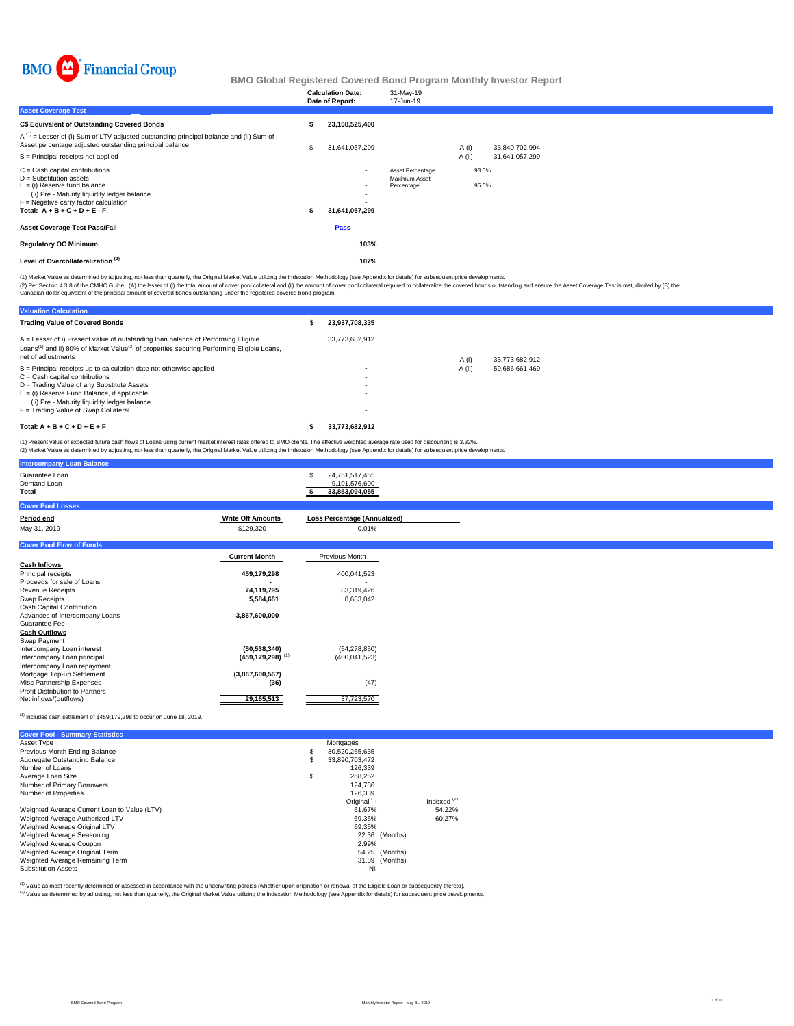

|                                                                                                                                                                                                                              |   | <b>Calculation Date:</b><br>Date of Report:                            | 31-May-19<br>17-Jun-19                          |        |                |                |
|------------------------------------------------------------------------------------------------------------------------------------------------------------------------------------------------------------------------------|---|------------------------------------------------------------------------|-------------------------------------------------|--------|----------------|----------------|
| <b>Asset Coverage Test</b>                                                                                                                                                                                                   |   |                                                                        |                                                 |        |                |                |
| <b>C\$ Equivalent of Outstanding Covered Bonds</b>                                                                                                                                                                           |   | 23,108,525,400                                                         |                                                 |        |                |                |
| $A^{(1)}$ = Lesser of (i) Sum of LTV adjusted outstanding principal balance and (ii) Sum of<br>Asset percentage adjusted outstanding principal balance                                                                       | S | 31,641,057,299                                                         |                                                 | A (i)  |                | 33,840,702,994 |
| $B =$ Principal receipts not applied                                                                                                                                                                                         |   |                                                                        |                                                 | A (ii) |                | 31,641,057,299 |
| $C =$ Cash capital contributions<br>$D =$ Substitution assets<br>$E =$ (i) Reserve fund balance<br>(ii) Pre - Maturity liquidity ledger balance<br>$F =$ Negative carry factor calculation<br>Total: $A + B + C + D + E - F$ |   | $\overline{\phantom{a}}$<br>$\overline{\phantom{a}}$<br>31,641,057,299 | Asset Percentage<br>Maximum Asset<br>Percentage |        | 93.5%<br>95.0% |                |
| <b>Asset Coverage Test Pass/Fail</b>                                                                                                                                                                                         |   | Pass                                                                   |                                                 |        |                |                |
| <b>Regulatory OC Minimum</b>                                                                                                                                                                                                 |   | 103%                                                                   |                                                 |        |                |                |
| Level of Overcollateralization <sup>(2)</sup>                                                                                                                                                                                |   | 107%                                                                   |                                                 |        |                |                |

(1) Market Value as determined by adjusting, not less than quarterly, the Original Market Value utilizing the Indexation Methodology (see Appendix for details) for subsequent price developments.

(2) Per Section 4.3.8 of the CMHC Guide, (A) the lesser of (i) the total amount of cover pool collateral and (ii) the amount of covered bonds departed and chase the overed bonds by (B) the Calculation of the policial exper

**Valuation Calculation Trading Value of Covered Bonds \$ 23,937,708,335** 33,773,682,912 A (i) 33,773,682,912<br>A (ii) 59,686,661,469 B = Principal receipts up to calculation date not otherwise applied - A (ii) 59,686,661,469 C = Cash capital contributions - D = Trading Value of any Substitute Assets - E = (i) Reserve Fund Balance, if applicable - (ii) Pre - Maturity liquidity ledger balance - F = Trading Value of Swap Collateral - **Total: A + B + C + D + E + F \$ 33,773,682,912** A = Lesser of i) Present value of outstanding loan balance of Performing Eligible Loans<sup>(1)</sup> and ii) 80% of Market Value<sup>(2)</sup> of properties securing Performing Eligible Loans, net of adjustments

(1) Present value of expected future cash flows of Loans using current market interest rates offered to BMO clients. The effective weighted average rate used for discounting is 3.32%.<br>(2) Market Value as determined by adju ,<br>arterly, the Original Market Value utilizing the Indexation Methodology (see Appendix for details) for subsequent price deve

| <b>Intercompany Loan Balance</b>       |                          |                                                         |  |
|----------------------------------------|--------------------------|---------------------------------------------------------|--|
| Guarantee Loan<br>Demand Loan<br>Total |                          | 24,751,517,455<br>£.<br>9,101,576,600<br>33,853,094,055 |  |
| <b>Cover Pool Losses</b>               |                          |                                                         |  |
| Period end                             | <b>Write Off Amounts</b> | <b>Loss Percentage (Annualized)</b>                     |  |
| May 31, 2019                           | \$129,320                | 0.01%                                                   |  |
| <b>Cover Pool Flow of Funds</b>        |                          |                                                         |  |
|                                        | <b>Current Month</b>     | Previous Month                                          |  |
| <b>Cash Inflows</b>                    |                          |                                                         |  |
| Principal receipts                     | 459,179,298              | 400,041,523                                             |  |
| Proceeds for sale of Loans             |                          | $\overline{\phantom{a}}$                                |  |
| <b>Revenue Receipts</b>                | 74,119,795               | 83,319,426                                              |  |
| Swap Receipts                          | 5,584,661                | 8,683,042                                               |  |
| Cash Capital Contribution              |                          |                                                         |  |
| Advances of Intercompany Loans         | 3,867,600,000            |                                                         |  |
| Guarantee Fee                          |                          |                                                         |  |
| <b>Cash Outflows</b>                   |                          |                                                         |  |

| (50, 538, 340)                   | (54.278.850)  |
|----------------------------------|---------------|
| $(459, 179, 298)$ <sup>(1)</sup> | (400.041.523) |
|                                  |               |
| (3,867,600,567)                  |               |
| (36)                             | (47)          |
|                                  |               |
| 29.165.513                       | 37.723.570    |
|                                  |               |

(1) Includes cash settlement of \$459,179,298 to occur on June 18, 2019.

| <b>Cover Pool - Summary Statistics</b>       |                         |                |                  |
|----------------------------------------------|-------------------------|----------------|------------------|
| Asset Type                                   | Mortgages               |                |                  |
| Previous Month Ending Balance                | \$<br>30,520,255,635    |                |                  |
| Aggregate Outstanding Balance                | \$<br>33.890.703.472    |                |                  |
| Number of Loans                              | 126.339                 |                |                  |
| Average Loan Size                            | \$<br>268,252           |                |                  |
| Number of Primary Borrowers                  | 124.736                 |                |                  |
| Number of Properties                         | 126.339                 |                |                  |
|                                              | Original <sup>(1)</sup> |                | Indexed $^{(2)}$ |
| Weighted Average Current Loan to Value (LTV) | 61.67%                  |                | 54.22%           |
| Weighted Average Authorized LTV              | 69.35%                  |                | 60.27%           |
| Weighted Average Original LTV                | 69.35%                  |                |                  |
| Weighted Average Seasoning                   |                         | 22.36 (Months) |                  |
| Weighted Average Coupon                      | 2.99%                   |                |                  |
| Weighted Average Original Term               |                         | 54.25 (Months) |                  |
| Weighted Average Remaining Term              |                         | 31.89 (Months) |                  |
| <b>Substitution Assets</b>                   | Nil                     |                |                  |

(2) Value as determined by adjusting, not less than quarterly, the Original Market Value utilizing the Indexation Methodology (see Appendix for details) for subsequent price developments. (1) Value as most recently determined or assessed in accordance with the underwriting policies (whether upon origination or renewal of the Eligible Loan or subsequently thereto).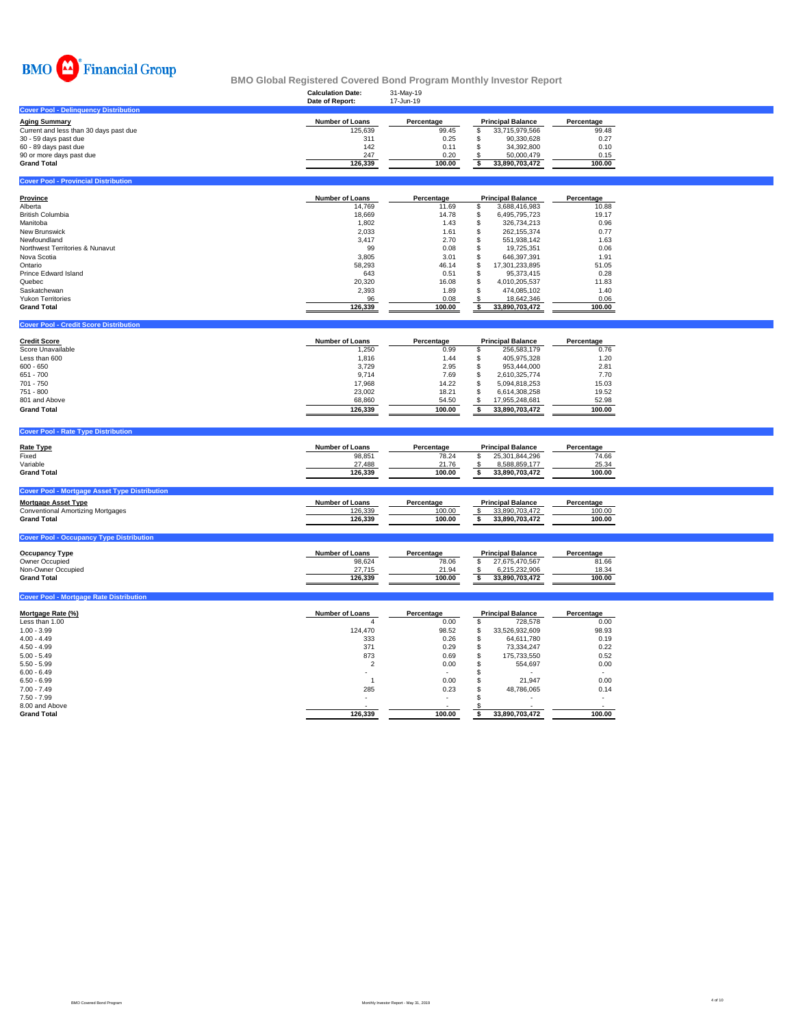

|                                                                |                           |                     | <b>BMO Global Registered Covered Bond Program Monthly Investor Report</b> |                          |  |
|----------------------------------------------------------------|---------------------------|---------------------|---------------------------------------------------------------------------|--------------------------|--|
|                                                                | <b>Calculation Date:</b>  | 31-May-19           |                                                                           |                          |  |
|                                                                | Date of Report:           | 17-Jun-19           |                                                                           |                          |  |
| <b>Cover Pool - Delinquency Distribution</b>                   |                           |                     |                                                                           |                          |  |
|                                                                | <b>Number of Loans</b>    | Percentage          |                                                                           | Percentage               |  |
| <b>Aging Summary</b><br>Current and less than 30 days past due | 125,639                   | 99.45               | <b>Principal Balance</b><br>\$<br>33,715,979,566                          | 99.48                    |  |
|                                                                | 311                       | 0.25                | \$<br>90,330,628                                                          | 0.27                     |  |
| 30 - 59 days past due<br>60 - 89 days past due                 | 142                       | 0.11                | \$<br>34,392,800                                                          | 0.10                     |  |
| 90 or more days past due                                       | 247                       | 0.20                | 50,000,479<br>\$                                                          | 0.15                     |  |
| <b>Grand Total</b>                                             | 126,339                   | 100.00              | \$<br>33,890,703,472                                                      | 100.00                   |  |
|                                                                |                           |                     |                                                                           |                          |  |
| <b>Cover Pool - Provincial Distribution</b>                    |                           |                     |                                                                           |                          |  |
|                                                                |                           |                     |                                                                           |                          |  |
| <b>Province</b>                                                | <b>Number of Loans</b>    | Percentage          | <b>Principal Balance</b>                                                  | Percentage               |  |
| Alberta                                                        | 14,769                    | 11.69               | \$<br>3,688,416,983                                                       | 10.88                    |  |
| British Columbia                                               | 18,669                    | 14.78               | \$<br>6,495,795,723                                                       | 19.17                    |  |
| Manitoba                                                       | 1,802                     | 1.43                | \$<br>326,734,213                                                         | 0.96                     |  |
| New Brunswick                                                  | 2,033                     | 1.61                | \$<br>262,155,374                                                         | 0.77                     |  |
| Newfoundland                                                   | 3,417                     | 2.70                | \$<br>551,938,142                                                         | 1.63                     |  |
| Northwest Territories & Nunavut                                | 99                        | 0.08                | \$<br>19,725,351                                                          | 0.06                     |  |
| Nova Scotia                                                    | 3,805                     | 3.01                | \$<br>646,397,391                                                         | 1.91                     |  |
| Ontario                                                        | 58,293                    | 46.14               | \$<br>17,301,233,895                                                      | 51.05                    |  |
| Prince Edward Island                                           | 643                       | 0.51                | \$<br>95,373,415                                                          | 0.28                     |  |
| Quebec                                                         | 20,320                    | 16.08               | \$<br>4,010,205,537                                                       | 11.83                    |  |
| Saskatchewan                                                   | 2,393                     | 1.89                | \$<br>474,085,102                                                         | 1.40                     |  |
| <b>Yukon Territories</b>                                       | 96                        | 0.08                | 18,642,346<br>S                                                           | 0.06                     |  |
| <b>Grand Total</b>                                             | 126,339                   | 100.00              | s<br>33,890,703,472                                                       | 100.00                   |  |
|                                                                |                           |                     |                                                                           |                          |  |
| <b>Cover Pool - Credit Score Distribution</b>                  |                           |                     |                                                                           |                          |  |
|                                                                |                           |                     |                                                                           |                          |  |
| <b>Credit Score</b>                                            | <b>Number of Loans</b>    | Percentage          | <b>Principal Balance</b>                                                  | Percentage               |  |
| Score Unavailable                                              | 1,250                     | 0.99                | 256,583,179<br>\$                                                         | 0.76                     |  |
| Less than 600                                                  | 1,816                     | 1.44                | \$<br>405,975,328                                                         | 1.20                     |  |
| $600 - 650$                                                    | 3,729                     | 2.95                | \$<br>953,444,000                                                         | 2.81                     |  |
| 651 - 700                                                      | 9,714                     | 7.69                | \$<br>2,610,325,774                                                       | 7.70                     |  |
| 701 - 750                                                      | 17,968                    | 14.22               | \$<br>5,094,818,253                                                       | 15.03                    |  |
| 751 - 800                                                      | 23,002                    | 18.21               | \$<br>6,614,308,258                                                       | 19.52                    |  |
| 801 and Above                                                  | 68,860                    | 54.50               | \$<br>17,955,248,681                                                      | 52.98                    |  |
| <b>Grand Total</b>                                             | 126,339                   | 100.00              | 33,890,703,472<br>\$                                                      | 100.00                   |  |
|                                                                |                           |                     |                                                                           |                          |  |
| <b>Cover Pool - Rate Type Distribution</b>                     |                           |                     |                                                                           |                          |  |
|                                                                |                           |                     |                                                                           |                          |  |
| <b>Rate Type</b>                                               | <b>Number of Loans</b>    | Percentage          | <b>Principal Balance</b>                                                  | Percentage               |  |
| Fixed                                                          | 98,851                    | 78.24               | \$<br>25,301,844,296                                                      | 74.66                    |  |
| Variable                                                       | 27,488                    | 21.76               | 8,588,859,177<br>\$                                                       | 25.34                    |  |
| <b>Grand Total</b>                                             | 126,339                   | 100.00              | \$<br>33,890,703,472                                                      | 100.00                   |  |
|                                                                |                           |                     |                                                                           |                          |  |
| <b>Cover Pool - Mortgage Asset Type Distribution</b>           |                           |                     |                                                                           |                          |  |
|                                                                |                           |                     |                                                                           |                          |  |
| <b>Mortgage Asset Type</b>                                     | <b>Number of Loans</b>    | Percentage          | <b>Principal Balance</b>                                                  | Percentage               |  |
| <b>Conventional Amortizing Mortgages</b>                       | 126,339                   | 100.00              | \$<br>33,890,703,472                                                      | 100.00                   |  |
| <b>Grand Total</b>                                             | 126,339                   | 100.00              | \$<br>33,890,703,472                                                      | 100.00                   |  |
|                                                                |                           |                     |                                                                           |                          |  |
| <b>Cover Pool - Occupancy Type Distribution</b>                |                           |                     |                                                                           |                          |  |
|                                                                |                           |                     |                                                                           |                          |  |
| <b>Occupancy Type</b><br>Owner Occupied                        | Number of Loans<br>98,624 | Percentage<br>78.06 | <b>Principal Balance</b><br>27,675,470,567<br>\$                          | Percentage<br>81.66      |  |
| Non-Owner Occupied                                             | 27.715                    | 21.94               | 6,215,232,906                                                             | 18.34                    |  |
| <b>Grand Total</b>                                             | 126,339                   | 100.00              | \$<br>\$<br>33,890,703,472                                                | 100.00                   |  |
|                                                                |                           |                     |                                                                           |                          |  |
| <b>Cover Pool - Mortgage Rate Distribution</b>                 |                           |                     |                                                                           |                          |  |
|                                                                |                           |                     |                                                                           |                          |  |
| Mortgage Rate (%)                                              | <b>Number of Loans</b>    | Percentage          | <b>Principal Balance</b>                                                  | Percentage               |  |
| Less than 1.00                                                 | $\boldsymbol{\Delta}$     | 0.00                | \$<br>728,578                                                             | 0.00                     |  |
| $1.00 - 3.99$                                                  | 124,470                   | 98.52               | \$<br>33,526,932,609                                                      | 98.93                    |  |
| $4.00 - 4.49$                                                  | 333                       | 0.26                | \$<br>64,611,780                                                          | 0.19                     |  |
| $4.50 - 4.99$                                                  | 371                       | 0.29                | \$<br>73,334,247                                                          | 0.22                     |  |
| $5.00 - 5.49$                                                  | 873                       | 0.69                | \$<br>175,733,550                                                         | 0.52                     |  |
| $5.50 - 5.99$                                                  | $\overline{2}$            | 0.00                | \$<br>554,697                                                             | 0.00                     |  |
| $6.00 - 6.49$                                                  |                           |                     | \$                                                                        |                          |  |
| $6.50 - 6.99$                                                  | $\overline{1}$            | 0.00                | \$<br>21,947                                                              | 0.00                     |  |
| $7.00 - 7.49$                                                  | 285                       | 0.23                | \$<br>48,786,065                                                          | 0.14                     |  |
| $7.50 - 7.99$                                                  | ٠                         | ٠                   | s.<br>٠                                                                   | $\overline{\phantom{a}}$ |  |
| 8.00 and Above                                                 |                           |                     | \$                                                                        |                          |  |
| <b>Grand Total</b>                                             | 126,339                   | 100.00              | 33,890,703,472<br>\$                                                      | 100.00                   |  |
|                                                                |                           |                     |                                                                           |                          |  |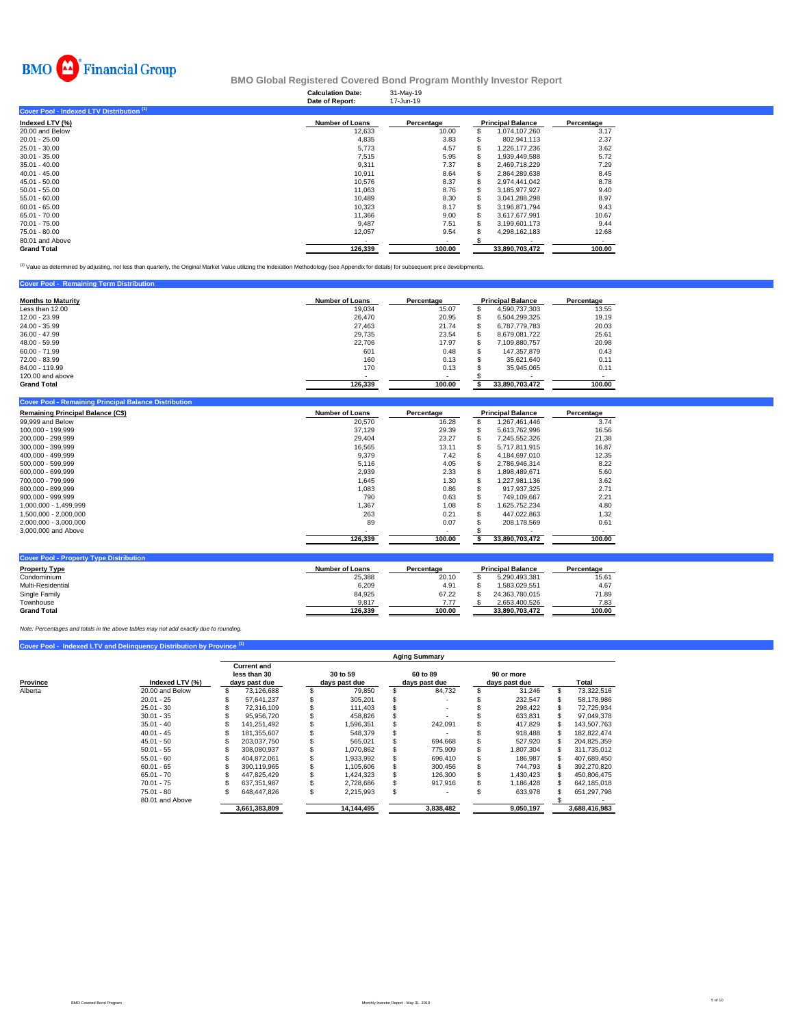

### **Calculation Date:** 31-May-19 **BMO Global Registered Covered Bond Program Monthly Investor Report**

| Date of Report:        | 17-Jun-19  |                |                          |
|------------------------|------------|----------------|--------------------------|
|                        |            |                |                          |
| <b>Number of Loans</b> | Percentage |                | Percentage               |
| 12,633                 | 10.00      | 1,074,107,260  | 3.17                     |
| 4.835                  | 3.83       | 802.941.113    | 2.37                     |
| 5,773                  | 4.57       | 1.226.177.236  | 3.62                     |
| 7.515                  | 5.95       | 1.939.449.588  | 5.72                     |
| 9,311                  | 7.37       | 2.469.718.229  | 7.29                     |
| 10.911                 | 8.64       | 2.864.289.638  | 8.45                     |
| 10,576                 | 8.37       | 2.974.441.042  | 8.78                     |
| 11.063                 | 8.76       | 3.185.977.927  | 9.40                     |
| 10.489                 | 8.30       | 3.041.288.298  | 8.97                     |
| 10,323                 | 8.17       | 3.196.871.794  | 9.43                     |
| 11.366                 | 9.00       | 3.617.677.991  | 10.67                    |
| 9.487                  | 7.51       | 3.199.601.173  | 9.44                     |
| 12,057                 | 9.54       | 4.298.162.183  | 12.68                    |
|                        |            |                |                          |
| 126.339                | 100.00     | 33.890.703.472 | 100.00                   |
|                        |            |                | <b>Principal Balance</b> |

(1) Value as determined by adjusting, not less than quarterly, the Original Market Value utilizing the Indexation Methodology (see Appendix for details) for subsequent price developments.

#### **Cover Pool - Remaining Term Distributi**

| <b>Months to Maturity</b> | <b>Number of Loans</b> | Percentage               | <b>Principal Balance</b> | Percentage |
|---------------------------|------------------------|--------------------------|--------------------------|------------|
| Less than 12.00           | 19.034                 | 15.07                    | 4.590.737.303            | 13.55      |
| 12.00 - 23.99             | 26,470                 | 20.95                    | 6.504.299.325            | 19.19      |
| 24.00 - 35.99             | 27,463                 | 21.74                    | 6.787.779.783            | 20.03      |
| $36.00 - 47.99$           | 29.735                 | 23.54                    | 8.679.081.722            | 25.61      |
| 48.00 - 59.99             | 22,706                 | 17.97                    | 7.109.880.757            | 20.98      |
| $60.00 - 71.99$           | 601                    | 0.48                     | 147.357.879              | 0.43       |
| 72.00 - 83.99             | 160                    | 0.13                     | 35.621.640               | 0.11       |
| 84.00 - 119.99            | 170                    | 0.13                     | 35.945.065               | 0.11       |
| 120,00 and above          |                        | $\overline{\phantom{a}}$ |                          |            |
| <b>Grand Total</b>        | 126,339                | 100.00                   | 33.890.703.472           | 100.00     |

| Cover Pool - Remaining Principal Balance Distribution |                        |            |   |                          |            |
|-------------------------------------------------------|------------------------|------------|---|--------------------------|------------|
| <b>Remaining Principal Balance (C\$)</b>              | <b>Number of Loans</b> | Percentage |   | <b>Principal Balance</b> | Percentage |
| 99,999 and Below                                      | 20,570                 | 16.28      | S | 1,267,461,446            | 3.74       |
| 100.000 - 199.999                                     | 37.129                 | 29.39      |   | 5.613.762.996            | 16.56      |
| 200.000 - 299.999                                     | 29.404                 | 23.27      |   | 7,245,552,326            | 21.38      |
| 300.000 - 399.999                                     | 16,565                 | 13.11      |   | 5,717,811,915            | 16.87      |
| 400.000 - 499.999                                     | 9,379                  | 7.42       |   | 4.184.697.010            | 12.35      |
| 500.000 - 599.999                                     | 5,116                  | 4.05       |   | 2.786.946.314            | 8.22       |
| 600.000 - 699.999                                     | 2,939                  | 2.33       |   | 1,898,489,671            | 5.60       |
| 700.000 - 799.999                                     | 1,645                  | 1.30       |   | 1.227.981.136            | 3.62       |
| 800.000 - 899.999                                     | 1,083                  | 0.86       |   | 917.937.325              | 2.71       |
| 900,000 - 999,999                                     | 790                    | 0.63       |   | 749,109,667              | 2.21       |
| 1.000.000 - 1.499.999                                 | 1.367                  | 1.08       |   | 1.625.752.234            | 4.80       |
| 1,500,000 - 2,000,000                                 | 263                    | 0.21       |   | 447.022.863              | 1.32       |
| 2,000,000 - 3,000,000                                 | 89                     | 0.07       |   | 208,178,569              | 0.61       |
| 3,000,000 and Above                                   |                        |            |   |                          |            |
|                                                       | 126,339                | 100.00     |   | 33,890,703,472           | 100.00     |
|                                                       |                        |            |   |                          |            |
| <b>Cover Pool - Property Type Distribution</b>        |                        |            |   |                          |            |

| <b>Property Type</b> | <b>Number of Loans</b> | Percentage |                | <b>Principal Balance</b> |  | Percentage |
|----------------------|------------------------|------------|----------------|--------------------------|--|------------|
| Condominium          | 25,388                 | 20.10      |                | 5.290.493.381            |  | 15.61      |
| Multi-Residential    | 6.209                  | 4.91       |                | .583.029.551             |  | 4.67       |
| Single Family        | 84.925                 | 67.22      |                | 24.363.780.015           |  | 71.89      |
| Townhouse            | 9.817                  | 7.77       |                | 2.653.400.526            |  | 7.83       |
| <b>Grand Total</b>   | 126.339                | 100.00     | 33.890.703.472 |                          |  | 100.00     |

*Note: Percentages and totals in the above tables may not add exactly due to rounding.*

# **Cover Pool - Indexed LTV and Delinquency Distribution by Province (1)**

|                     | <b>Aging Summary</b> |                    |               |               |            |          |               |  |               |  |               |  |  |  |
|---------------------|----------------------|--------------------|---------------|---------------|------------|----------|---------------|--|---------------|--|---------------|--|--|--|
|                     |                      | <b>Current and</b> |               |               |            |          |               |  |               |  |               |  |  |  |
|                     |                      |                    | less than 30  | 30 to 59      |            | 60 to 89 |               |  | 90 or more    |  |               |  |  |  |
| Province<br>Alberta | Indexed LTV (%)      | days past due      |               | days past due |            |          | days past due |  | days past due |  | Total         |  |  |  |
|                     | 20.00 and Below      |                    | 73,126,688    |               | 79.850     |          | 84,732        |  | 31,246        |  | 73,322,516    |  |  |  |
|                     | $20.01 - 25$         |                    | 57.641.237    |               | 305.201    |          |               |  | 232,547       |  | 58,178,986    |  |  |  |
|                     | $25.01 - 30$         |                    | 72.316.109    |               | 111.403    |          |               |  | 298.422       |  | 72,725,934    |  |  |  |
|                     | $30.01 - 35$         |                    | 95.956.720    |               | 458.826    |          |               |  | 633.831       |  | 97.049.378    |  |  |  |
|                     | $35.01 - 40$         |                    | 141.251.492   |               | 1,596,351  |          | 242.091       |  | 417,829       |  | 143,507,763   |  |  |  |
|                     | $40.01 - 45$         |                    | 181.355.607   |               | 548,379    |          |               |  | 918,488       |  | 182.822.474   |  |  |  |
|                     | $45.01 - 50$         |                    | 203.037.750   |               | 565.021    |          | 694.668       |  | 527,920       |  | 204.825.359   |  |  |  |
|                     | $50.01 - 55$         |                    | 308.080.937   |               | 1.070.862  |          | 775,909       |  | 1.807.304     |  | 311.735.012   |  |  |  |
|                     | $55.01 - 60$         |                    | 404.872.061   |               | 1.933.992  |          | 696,410       |  | 186.987       |  | 407.689.450   |  |  |  |
|                     | $60.01 - 65$         |                    | 390.119.965   |               | 1.105.606  |          | 300.456       |  | 744.793       |  | 392.270.820   |  |  |  |
|                     | $65.01 - 70$         |                    | 447.825.429   |               | 1.424.323  |          | 126,300       |  | 1.430.423     |  | 450.806.475   |  |  |  |
|                     | $70.01 - 75$         |                    | 637.351.987   |               | 2.728.686  |          | 917.916       |  | 1.186.428     |  | 642,185,018   |  |  |  |
|                     | $75.01 - 80$         |                    | 648,447,826   |               | 2,215,993  | S        |               |  | 633,978       |  | 651,297,798   |  |  |  |
|                     | 80.01 and Above      |                    |               |               |            |          |               |  |               |  |               |  |  |  |
|                     |                      |                    | 3.661.383.809 |               | 14,144,495 |          | 3,838,482     |  | 9,050,197     |  | 3.688.416.983 |  |  |  |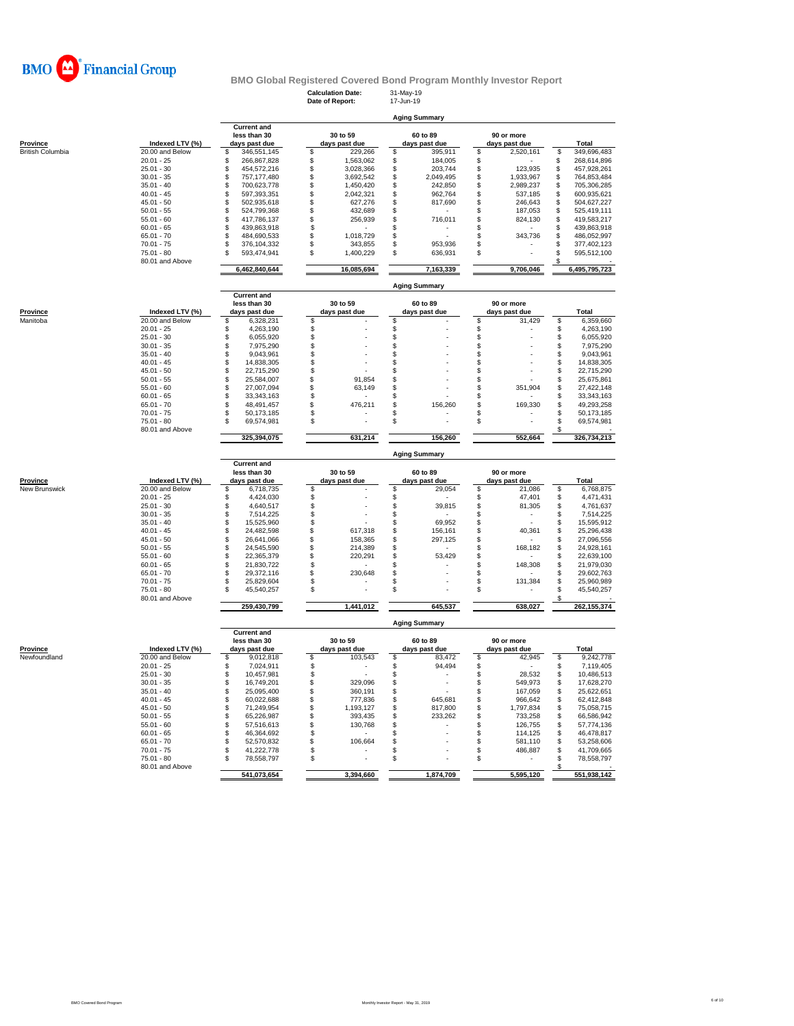

# **BMO Global Registered Covered Bond Program Monthly Investor Report**<br>Calculation Date: 31-May-19<br>Date of Benort: 17-Jun-19

| Province         |  |
|------------------|--|
| Rritish Col⊔mhia |  |

|                  |                      |               |                    |               | Calculation Date:<br>Date of Report: | 31-May-19<br>17-Jun-19 |               |            |               |     |               |
|------------------|----------------------|---------------|--------------------|---------------|--------------------------------------|------------------------|---------------|------------|---------------|-----|---------------|
|                  | <b>Aging Summary</b> |               |                    |               |                                      |                        |               |            |               |     |               |
|                  |                      |               | <b>Current and</b> |               |                                      |                        |               |            |               |     |               |
|                  |                      |               | less than 30       |               | 30 to 59                             |                        | 60 to 89      | 90 or more |               |     |               |
| Province         | Indexed LTV (%)      | days past due |                    | days past due |                                      |                        | days past due |            | days past due |     | Total         |
| British Columbia | 20.00 and Below      |               | 346,551,145        |               | 229,266                              |                        | 395,911       | S          | 2,520,161     | \$. | 349,696,483   |
|                  | $20.01 - 25$         |               | 266,867,828        |               | 1,563,062                            |                        | 184,005       |            |               |     | 268,614,896   |
|                  | $25.01 - 30$         |               | 454.572.216        |               | 3,028,366                            |                        | 203,744       |            | 123,935       |     | 457,928,261   |
|                  | $30.01 - 35$         |               | 757.177.480        |               | 3,692,542                            |                        | 2,049,495     |            | 1,933,967     |     | 764,853,484   |
|                  | $35.01 - 40$         |               | 700.623.778        |               | 1,450,420                            |                        | 242,850       |            | 2,989,237     |     | 705,306,285   |
|                  | $40.01 - 45$         |               | 597.393.351        |               | 2,042,321                            |                        | 962.764       |            | 537,185       |     | 600,935,621   |
|                  | $45.01 - 50$         |               | 502,935,618        |               | 627,276                              |                        | 817,690       |            | 246,643       |     | 504,627,227   |
|                  | $50.01 - 55$         |               | 524,799,368        |               | 432,689                              |                        |               |            | 187,053       |     | 525,419,111   |
|                  | $55.01 - 60$         |               | 417.786.137        |               | 256,939                              |                        | 716,011       |            | 824,130       |     | 419,583,217   |
|                  | $60.01 - 65$         |               | 439,863,918        |               |                                      |                        |               |            |               |     | 439,863,918   |
|                  | $65.01 - 70$         |               | 484,690,533        |               | 1,018,729                            |                        |               |            | 343.736       |     | 486,052,997   |
|                  | $70.01 - 75$         |               | 376.104.332        |               | 343,855                              |                        | 953,936       |            |               |     | 377,402,123   |
|                  | $75.01 - 80$         |               | 593.474.941        | \$            | 1,400,229                            | £.                     | 636,931       | S          |               |     | 595,512,100   |
|                  | 80.01 and Above      |               |                    |               |                                      |                        |               |            |               |     |               |
|                  |                      |               | 6,462,840,644      |               | 16,085,694                           |                        | 7,163,339     |            | 9,706,046     |     | 6,495,795,723 |
|                  |                      |               |                    |               |                                      |                        |               |            |               |     |               |

| <b>Current and</b><br>30 to 59<br>less than 30<br>60 to 89<br>Province<br>Indexed LTV (%)<br>days past due<br>days past due<br>days past due<br>20.00 and Below<br>Manitoba<br>6,328,231 | 90 or more<br>days past due<br>31,429 | Total        |
|------------------------------------------------------------------------------------------------------------------------------------------------------------------------------------------|---------------------------------------|--------------|
|                                                                                                                                                                                          |                                       |              |
|                                                                                                                                                                                          |                                       | 6,359,660    |
| $20.01 - 25$<br>4,263,190                                                                                                                                                                |                                       | 4,263,190    |
| $25.01 - 30$<br>6,055,920                                                                                                                                                                |                                       | 6,055,920    |
| $30.01 - 35$<br>7,975,290                                                                                                                                                                |                                       | 7,975,290    |
| $35.01 - 40$<br>9,043,961                                                                                                                                                                |                                       | 9,043,961    |
| $40.01 - 45$<br>14.838.305                                                                                                                                                               |                                       | 14.838.305   |
| $45.01 - 50$<br>22.715.290                                                                                                                                                               | ۰                                     | 22,715,290   |
| $50.01 - 55$<br>91,854<br>25.584.007                                                                                                                                                     |                                       | 25.675.861   |
| $55.01 - 60$<br>63,149<br>27.007.094<br>$\overline{\phantom{a}}$                                                                                                                         | 351,904                               | 27,422,148   |
| $60.01 - 65$<br>33.343.163                                                                                                                                                               |                                       | 33, 343, 163 |
| 476,211<br>$65.01 - 70$<br>156,260<br>48.491.457                                                                                                                                         | 169,330                               | 49,293,258   |
| $70.01 - 75$<br>50.173.185                                                                                                                                                               | ۰                                     | 50,173,185   |
| $75.01 - 80$<br>69.574.981<br>S<br>٠                                                                                                                                                     | ٠                                     | 69,574,981   |
| 80.01 and Above                                                                                                                                                                          |                                       |              |
| 631,214<br>156,260<br>325,394,075                                                                                                                                                        | 552,664                               | 326,734,213  |

| Province      |  |  |
|---------------|--|--|
| Jew Brunswick |  |  |

|                           |                 |                                                     |                           |           | <b>Aging Summary</b>      |                             |               |
|---------------------------|-----------------|-----------------------------------------------------|---------------------------|-----------|---------------------------|-----------------------------|---------------|
| Province<br>New Brunswick | Indexed LTV (%) | <b>Current and</b><br>less than 30<br>days past due | 30 to 59<br>days past due |           | 60 to 89<br>days past due | 90 or more<br>days past due | Total         |
|                           | 20.00 and Below | 6,718,735                                           |                           |           | 29,054                    | 21,086                      | 6,768,875     |
|                           | $20.01 - 25$    | 4.424.030                                           |                           |           |                           | 47.401                      | 4,471,431     |
|                           | $25.01 - 30$    | 4.640.517                                           |                           |           | 39,815                    | 81.305                      | 4,761,637     |
|                           | $30.01 - 35$    | 7.514.225                                           |                           |           |                           |                             | 7,514,225     |
|                           | $35.01 - 40$    | 15,525,960                                          |                           |           | 69,952                    |                             | 15,595,912    |
|                           | $40.01 - 45$    | 24.482.598                                          |                           | 617.318   | 156,161                   | 40.361                      | 25,296,438    |
|                           | $45.01 - 50$    | 26.641.066                                          |                           | 158,365   | 297.125                   |                             | 27,096,556    |
|                           | $50.01 - 55$    | 24.545.590                                          |                           | 214,389   |                           | 168.182                     | 24.928.161    |
|                           | $55.01 - 60$    | 22.365.379                                          |                           | 220,291   | 53,429                    |                             | 22,639,100    |
|                           | $60.01 - 65$    | 21.830.722                                          |                           |           |                           | 148,308                     | 21.979.030    |
|                           | $65.01 - 70$    | 29.372.116                                          |                           | 230,648   |                           |                             | 29,602,763    |
|                           | $70.01 - 75$    | 25.829.604                                          |                           |           |                           | 131.384                     | 25,960,989    |
|                           | $75.01 - 80$    | 45,540,257                                          |                           |           |                           | ٠                           | 45,540,257    |
|                           | 80.01 and Above |                                                     |                           |           |                           |                             |               |
|                           |                 | 259,430,799                                         |                           | 1,441,012 | 645,537                   | 638,027                     | 262, 155, 374 |

**Aging Summary**

**Current and less than 30 30 to 59 60 to 89 90 or more Province Indexed LTV (%) days past due days past due days past due days past due days past due days past due days past due days past due days past due days past due days past due days past due** Newfoundland 20.00 and Below \$ 9,012,818 \$ 103,543 \$ 83,472 \$ 42,945 \$ 9,242,778 20.01 - 25 \$ 7,024,911 \$ - \$ 94,494 \$ - \$ 7,119,405 25.01 - 30 \$ 10,457,981 \$ - \$ - \$ 28,532 \$ 10,486,513 30.01 - 35 \$ 16,749,201 \$ 329,096 \$ - \$ 549,973 \$ 17,628,270 35.01 - 40 \$ 25,095,400 \$ 360,191 \$ - \$ 167,059 \$ 25,622,651 40.01 - 45 \$ 60,022,688 \$ 777,836 \$ 645,681 \$ 966,642 \$ 62,412,848 45.01 - 50 \$ 71,249,954 \$ 1,193,127 \$ 817,800 \$ 1,797,834 \$ 75,058,715 50.01 - 55 \$ 65,226,987 \$ 393,435 \$ 233,262 \$ 733,258 \$ 66,586,942 55.01 - 60 \$ 57,516,613 \$ 130,768 \$ - \$ 126,755 \$ 57,774,136 60.01 - 65 \$ 46,364,692 \$ - \$ - \$ 114,125 \$ 46,478,817 65.01 - 70 \$ 52,570,832 \$ 106,664 \$ - \$ 581,110 \$ 53,258,606 70.01 - 75 \$ 41,222,778 \$ - \$ - \$ 486,887 \$ 41,709,665 75.01 - 80 \$ 78,558,797 \$ - \$ - \$ - \$ 78,558,797 80.01 and Above \$ -  **541,073,654 3,394,660 1,874,709 5,595,120 551,938,142**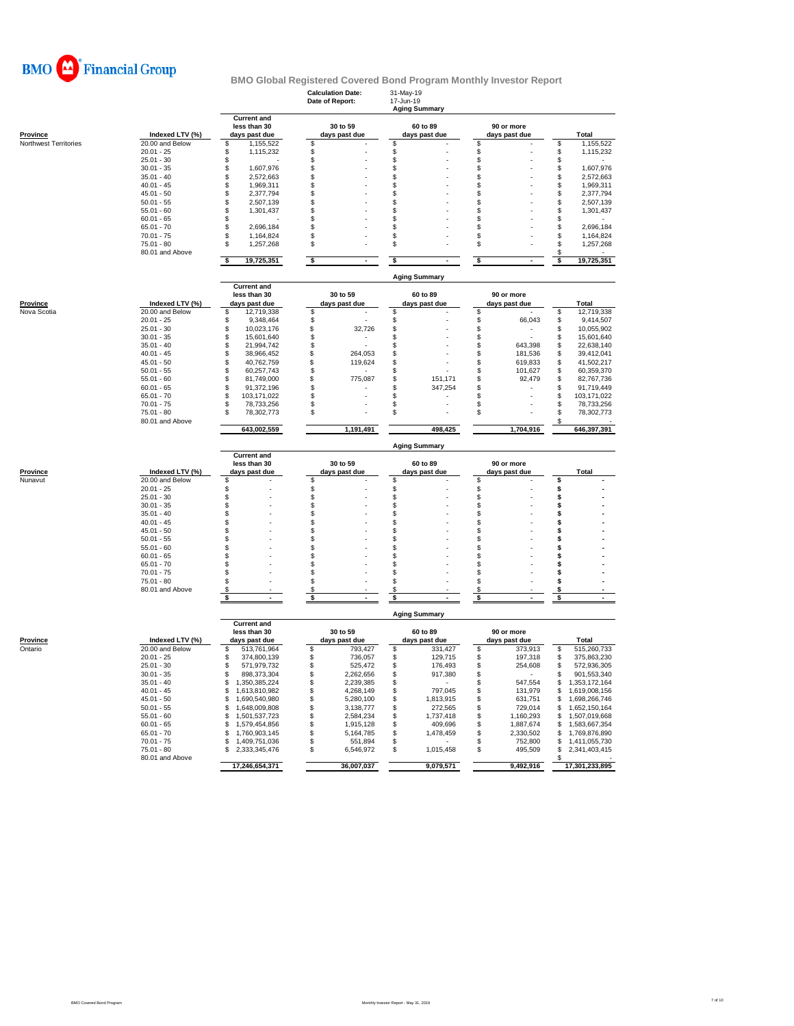

# **BMO Global Registered Covered Bond Program Monthly Investor Report**<br>Calculation Date: 31-May-19<br>Date of Report: 17-Jun-19

|                       |                              |                                                     | <b>Calculation Date:</b><br>Date of Report:     | 31-May-19<br>17-Jun-19<br><b>Aging Summary</b> |                                |                                        |
|-----------------------|------------------------------|-----------------------------------------------------|-------------------------------------------------|------------------------------------------------|--------------------------------|----------------------------------------|
| <b>Province</b>       | Indexed LTV (%)              | <b>Current and</b><br>less than 30<br>days past due | 30 to 59<br>days past due                       | 60 to 89<br>days past due                      | 90 or more<br>days past due    | <b>Total</b>                           |
| Northwest Territories | 20.00 and Below              | \$<br>1,155,522                                     | \$                                              | \$                                             | \$                             | \$<br>1,155,522                        |
|                       | $20.01 - 25$                 | \$<br>1,115,232                                     | \$                                              | \$                                             | \$                             | \$<br>1,115,232                        |
|                       | $25.01 - 30$<br>$30.01 - 35$ | \$                                                  | \$                                              | \$                                             | \$                             | \$                                     |
|                       | $35.01 - 40$                 | \$<br>1,607,976<br>S<br>2,572,663                   | \$<br>\$                                        | \$<br>S                                        | \$<br>\$                       | \$<br>1,607,976<br>\$<br>2,572,663     |
|                       | $40.01 - 45$                 | \$<br>1,969,311                                     | \$                                              | \$                                             | \$                             | \$<br>1,969,311                        |
|                       | $45.01 - 50$                 | \$<br>2,377,794                                     | \$                                              | S                                              | \$                             | \$<br>2,377,794                        |
|                       | $50.01 - 55$                 | \$<br>2,507,139                                     | \$                                              | S                                              | \$                             | \$<br>2,507,139                        |
|                       | $55.01 - 60$                 | \$<br>1,301,437                                     | \$                                              | S                                              | \$                             | \$<br>1,301,437                        |
|                       | $60.01 - 65$                 | \$                                                  | \$                                              | \$                                             | \$                             | \$                                     |
|                       | $65.01 - 70$                 | \$<br>2,696,184                                     | \$                                              | S                                              | \$                             | \$<br>2,696,184                        |
|                       | $70.01 - 75$                 | \$<br>1,164,824                                     | \$                                              | S                                              | \$                             | \$<br>1,164,824                        |
|                       | 75.01 - 80                   | \$<br>1,257,268                                     | \$                                              | \$                                             | \$                             | \$<br>1,257,268                        |
|                       | 80.01 and Above              | \$<br>19,725,351                                    | $\sqrt[6]{\frac{1}{2}}$<br>$\ddot{\phantom{0}}$ | \$                                             | $\pmb{\mathsf{s}}$             | \$<br>\$<br>19,725,351                 |
|                       |                              |                                                     |                                                 | <b>Aging Summary</b>                           |                                |                                        |
|                       |                              | <b>Current and</b>                                  |                                                 |                                                |                                |                                        |
|                       |                              | less than 30                                        | 30 to 59                                        | 60 to 89                                       | 90 or more                     |                                        |
| <b>Province</b>       | Indexed LTV (%)              | days past due                                       | days past due                                   | days past due                                  | days past due                  | Total                                  |
| Nova Scotia           | 20.00 and Below              | S<br>12,719,338                                     | \$                                              | \$                                             | \$                             | \$<br>12,719,338                       |
|                       | $20.01 - 25$                 | S<br>9,348,464                                      | \$                                              | \$                                             | \$<br>66,043                   | \$<br>9,414,507                        |
|                       | $25.01 - 30$                 | \$<br>10,023,176                                    | \$<br>32,726                                    | S                                              | \$                             | \$<br>10,055,902                       |
|                       | $30.01 - 35$                 | \$<br>15,601,640                                    | \$                                              | \$                                             | \$                             | \$<br>15,601,640                       |
|                       | $35.01 - 40$                 | \$<br>21,994,742                                    | \$                                              | \$                                             | \$<br>643,398                  | \$<br>22,638,140                       |
|                       | $40.01 - 45$                 | \$<br>38,966,452                                    | \$<br>264,053                                   | \$                                             | \$<br>181,536                  | \$<br>39,412,041                       |
|                       | $45.01 - 50$                 | \$<br>40,762,759                                    | \$<br>119,624                                   | S                                              | 619,833<br>\$                  | \$<br>41,502,217                       |
|                       | $50.01 - 55$                 | \$<br>60,257,743                                    | \$                                              | \$                                             | \$<br>101,627                  | \$<br>60,359,370                       |
|                       | $55.01 - 60$                 | S<br>81,749,000<br>S                                | \$<br>775,087                                   | \$<br>151,171<br>\$                            | \$<br>92,479                   | \$<br>82,767,736                       |
|                       | $60.01 - 65$                 | 91,372,196<br>\$                                    | \$<br>\$                                        | 347,254<br>\$                                  | \$<br>\$                       | \$<br>91,719,449<br>\$                 |
|                       | $65.01 - 70$<br>$70.01 - 75$ | 103,171,022<br>\$<br>78,733,256                     | \$                                              | \$                                             | \$                             | 103, 171, 022<br>\$<br>78,733,256      |
|                       | $75.01 - 80$                 | 78,302,773<br>S                                     | \$                                              | S                                              | \$                             | \$<br>78,302,773                       |
|                       | 80.01 and Above              |                                                     |                                                 |                                                |                                |                                        |
|                       |                              | 643,002,559                                         | 1,191,491                                       | 498,425                                        | 1,704,916                      | 646,397,391                            |
|                       |                              |                                                     |                                                 | <b>Aging Summary</b>                           |                                |                                        |
|                       |                              | <b>Current and</b><br>less than 30                  | 30 to 59                                        | 60 to 89                                       | 90 or more                     |                                        |
|                       |                              |                                                     |                                                 | days past due                                  |                                |                                        |
| <b>Province</b>       | Indexed LTV (%)              | days past due                                       | days past due                                   |                                                | days past due                  | Total                                  |
| Nunavut               | 20.00 and Below              | S                                                   | \$                                              | \$                                             | \$                             | \$                                     |
|                       | $20.01 - 25$                 | \$                                                  | \$                                              | \$                                             | \$                             | \$                                     |
|                       | $25.01 - 30$                 | \$                                                  | \$                                              | \$                                             | \$                             | \$                                     |
|                       | $30.01 - 35$                 | \$                                                  | \$                                              | \$                                             | S                              | \$                                     |
|                       | $35.01 - 40$                 | \$                                                  | \$                                              | \$                                             | \$                             | \$                                     |
|                       | $40.01 - 45$                 | S                                                   | \$                                              | S                                              | \$                             | \$                                     |
|                       | $45.01 - 50$                 | S                                                   | \$                                              | S                                              | \$                             | s                                      |
|                       | $50.01 - 55$                 | S                                                   | \$                                              | S                                              | \$                             | \$                                     |
|                       | $55.01 - 60$                 | S                                                   | \$                                              | S                                              | \$                             | \$                                     |
|                       | $60.01 - 65$                 | S                                                   | \$                                              | S                                              | \$                             | \$                                     |
|                       | $65.01 - 70$                 | S                                                   | \$                                              | S                                              | \$                             | \$                                     |
|                       | $70.01 - 75$                 | S                                                   | \$                                              | S                                              | \$                             | s                                      |
|                       | $75.01 - 80$                 | S                                                   | \$                                              | S<br>\$                                        | \$<br>\$                       | s                                      |
|                       | 80.01 and Above              | \$<br>\$<br>٠                                       | \$<br>\$<br>$\blacksquare$                      | \$                                             | \$<br>$\blacksquare$           | \$<br>\$<br>$\sim$                     |
|                       |                              |                                                     |                                                 | <b>Aging Summary</b>                           |                                |                                        |
|                       |                              | <b>Current and</b>                                  |                                                 |                                                |                                |                                        |
|                       |                              | less than 30                                        | 30 to 59                                        | 60 to 89                                       | 90 or more                     |                                        |
| <b>Province</b>       | Indexed LTV (%)              | days past due                                       | days past due                                   | days past due                                  | days past due                  | Total                                  |
| Ontario               | 20.00 and Below              | \$<br>513,761,964                                   | \$<br>793,427                                   | \$<br>331,427                                  | \$<br>373,913                  | \$<br>515,260,733                      |
|                       | $20.01 - 25$                 | 374,800,139<br>\$                                   | \$<br>736,057                                   | \$<br>129,715                                  | \$<br>197,318                  | \$<br>375,863,230                      |
|                       | $25.01 - 30$                 | 571,979,732<br>\$                                   | \$<br>525,472<br>S                              | \$<br>176,493<br>S                             | \$<br>254,608                  | 572,936,305<br>\$<br>S                 |
|                       | $30.01 - 35$                 | 898,373,304                                         | 2,262,656                                       | 917,380<br>$\sim$                              |                                | 901,553,340                            |
|                       | $35.01 - 40$                 | \$1,350,385,224                                     | \$<br>2,239,385                                 | \$                                             | 547,554<br>\$                  | \$1,353,172,164                        |
|                       | $40.01 - 45$                 | \$1,613,810,982                                     | \$<br>4,268,149                                 | 797,045<br>\$                                  | 131,979<br>\$                  | \$1,619,008,156                        |
|                       | $45.01 - 50$                 | 1,690,540,980<br>\$                                 | \$<br>5,280,100                                 | \$<br>1,813,915                                | \$<br>631,751                  | \$1,698,266,746                        |
|                       | $50.01 - 55$                 | 1,648,009,808<br>\$                                 | \$<br>3,138,777                                 | \$<br>272,565                                  | 729,014<br>\$                  | 1,652,150,164<br>\$                    |
|                       | $55.01 - 60$                 | 1,501,537,723<br>\$                                 | \$<br>2,584,234                                 | 1,737,418<br>\$                                | 1,160,293<br>\$                | 1,507,019,668<br>\$                    |
|                       | $60.01 - 65$                 | \$<br>1,579,454,856                                 | \$<br>1,915,128                                 | \$<br>409,696                                  | \$<br>1,887,674                | \$<br>1,583,667,354                    |
|                       | $65.01 - 70$                 | 1,760,903,145<br>\$                                 | \$<br>5,164,785                                 | \$<br>1,478,459<br>$\sim 100$                  | \$<br>2,330,502                | 1,769,876,890<br>\$                    |
|                       | $70.01 - 75$<br>75.01 - 80   | \$<br>1,409,751,036<br>\$<br>2,333,345,476          | \$<br>551,894<br>\$<br>6,546,972                | \$<br>1,015,458<br>\$                          | 752,800<br>\$<br>\$<br>495,509 | \$1,411,055,730<br>\$<br>2,341,403,415 |
|                       | 80.01 and Above              | 17,246,654,371                                      | 36,007,037                                      | 9,079,571                                      | 9,492,916                      | \$<br>17,301,233,895                   |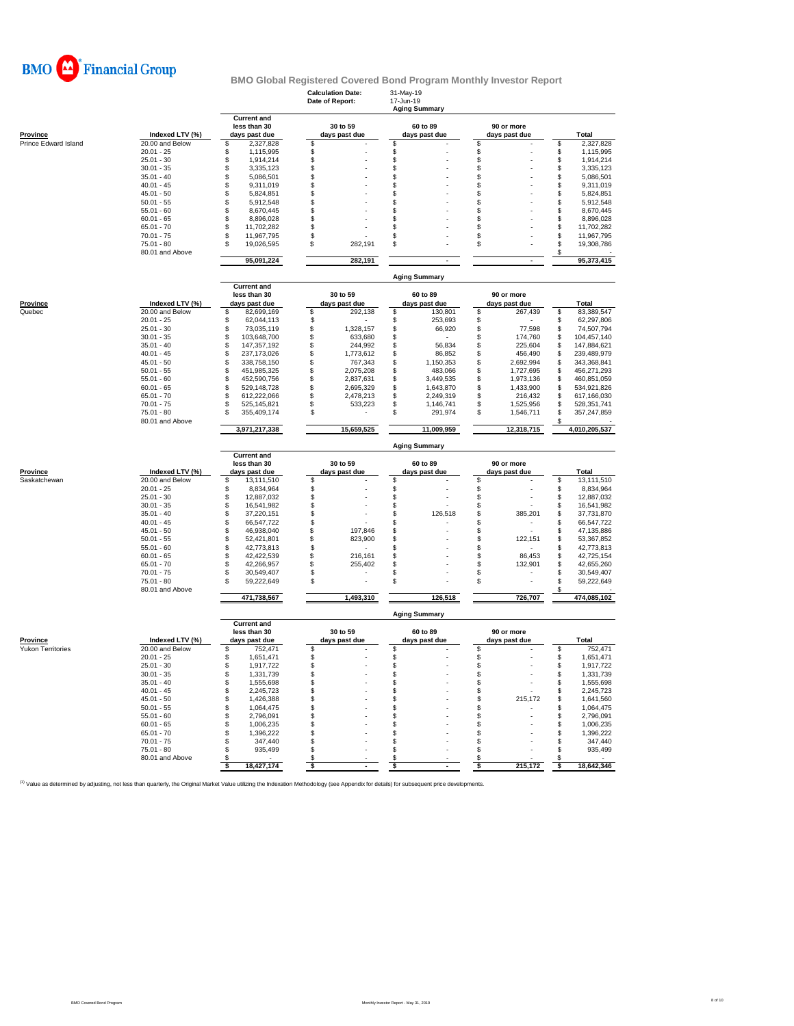

**Calculation Date:** 31-May-19

|                                 |                 |                                    | Date of Report:      | -Jun-19<br><b>Aging Summary</b> |                     |                                  |
|---------------------------------|-----------------|------------------------------------|----------------------|---------------------------------|---------------------|----------------------------------|
|                                 |                 | <b>Current and</b>                 |                      |                                 |                     |                                  |
|                                 |                 | less than 30                       | 30 to 59             | 60 to 89                        | 90 or more          |                                  |
| <b>Province</b>                 | Indexed LTV (%) | days past due                      | days past due        | days past due                   | days past due       | <b>Total</b>                     |
| Prince Edward Island            | 20.00 and Below | \$<br>2,327,828                    | S                    | \$                              | \$                  | 2,327,828<br>\$                  |
|                                 | $20.01 - 25$    | \$<br>1,115,995                    | \$                   | \$                              | \$                  | 1,115,995<br>\$                  |
|                                 | $25.01 - 30$    | \$<br>1,914,214                    | \$                   | \$                              | \$                  | \$<br>1,914,214                  |
|                                 | $30.01 - 35$    | \$<br>3,335,123                    | \$                   | \$                              | \$                  | \$<br>3,335,123                  |
|                                 | $35.01 - 40$    | \$<br>5,086,501                    | \$                   | \$                              | \$                  | \$<br>5,086,501                  |
|                                 | $40.01 - 45$    | \$<br>9,311,019                    | \$                   | \$                              | \$                  | \$<br>9,311,019                  |
|                                 | $45.01 - 50$    | \$<br>5,824,851                    | \$                   | \$                              | \$                  | \$<br>5,824,851                  |
|                                 | $50.01 - 55$    | \$<br>5,912,548                    | \$                   | \$                              | \$                  | \$<br>5,912,548                  |
|                                 | $55.01 - 60$    | \$<br>8,670,445                    | \$                   | \$                              | S                   | \$<br>8,670,445                  |
|                                 | $60.01 - 65$    | \$<br>8,896,028                    | \$                   | \$                              | S                   | \$<br>8,896,028                  |
|                                 | $65.01 - 70$    | \$<br>11,702,282                   | \$                   | \$                              | \$                  | \$<br>11,702,282                 |
|                                 | $70.01 - 75$    | \$<br>11,967,795                   | \$                   | \$                              | \$                  | \$<br>11,967,795                 |
|                                 | $75.01 - 80$    | \$<br>19,026,595                   | \$<br>282,191        | \$                              | \$                  | \$<br>19,308,786                 |
|                                 |                 |                                    |                      |                                 |                     | S                                |
|                                 | 80.01 and Above | 95,091,224                         | 282,191              | $\overline{a}$                  | ÷,                  | 95,373,415                       |
|                                 |                 |                                    |                      |                                 |                     |                                  |
|                                 |                 |                                    |                      | <b>Aging Summary</b>            |                     |                                  |
|                                 |                 | <b>Current and</b>                 |                      |                                 |                     |                                  |
|                                 |                 | less than 30                       | 30 to 59             | 60 to 89                        | 90 or more          |                                  |
| Province                        | Indexed LTV (%) | days past due                      | days past due        | days past due                   | days past due       | <b>Total</b>                     |
| Quebec                          | 20.00 and Below | \$<br>82,699,169                   | \$<br>292,138        | \$<br>130,801                   | \$<br>267,439       | 83,389,547<br>\$                 |
|                                 | $20.01 - 25$    |                                    |                      |                                 | \$                  |                                  |
|                                 | $25.01 - 30$    | \$<br>62,044,113                   | \$                   | \$<br>253,693                   |                     | 62,297,806<br>\$                 |
|                                 |                 | \$<br>73,035,119                   | \$<br>1,328,157      | \$<br>66,920                    | \$<br>77,598        | 74,507,794<br>\$                 |
|                                 | $30.01 - 35$    | \$<br>103,648,700                  | \$<br>633,680        | \$                              | \$<br>174,760       | 104,457,140<br>\$                |
|                                 | $35.01 - 40$    | \$<br>147,357,192                  | \$<br>244,992        | 56,834<br>\$                    | \$<br>225,604       | \$<br>147,884,621                |
|                                 | $40.01 - 45$    | \$<br>237, 173, 026                | \$<br>1,773,612      | \$<br>86,852                    | \$<br>456,490       | 239,489,979<br>\$                |
|                                 | $45.01 - 50$    | \$<br>338,758,150                  | \$<br>767,343        | \$<br>1,150,353                 | 2,692,994<br>\$     | \$<br>343,368,841                |
|                                 | $50.01 - 55$    | \$<br>451,985,325                  | \$<br>2,075,208      | \$<br>483,066                   | \$<br>1,727,695     | \$<br>456,271,293                |
|                                 | $55.01 - 60$    | \$<br>452,590,756                  | \$<br>2,837,631      | 3,449,535<br>\$                 | 1,973,136<br>\$     | 460,851,059<br>S                 |
|                                 | $60.01 - 65$    | \$<br>529,148,728                  | \$<br>2,695,329      | \$<br>1,643,870                 | 1,433,900<br>\$     | 534,921,826<br>\$                |
|                                 | $65.01 - 70$    | \$<br>612,222,066                  | \$<br>2,478,213      | \$<br>2,249,319                 | \$<br>216,432       | 617,166,030<br>\$                |
|                                 | $70.01 - 75$    | \$<br>525, 145, 821                | \$<br>533,223        | \$<br>1,146,741                 | \$<br>1,525,956     | \$<br>528,351,741                |
|                                 | $75.01 - 80$    | \$<br>355,409,174                  | \$                   | \$<br>291,974                   | \$<br>1,546,711     | \$<br>357,247,859                |
|                                 | 80.01 and Above |                                    |                      |                                 |                     |                                  |
|                                 |                 | 3,971,217,338                      | 15,659,525           | 11,009,959                      | 12,318,715          | 4,010,205,537                    |
|                                 |                 |                                    |                      |                                 |                     |                                  |
|                                 |                 |                                    |                      |                                 |                     |                                  |
|                                 |                 |                                    |                      | <b>Aging Summary</b>            |                     |                                  |
|                                 |                 | <b>Current and</b>                 |                      |                                 |                     |                                  |
|                                 |                 |                                    |                      |                                 |                     |                                  |
|                                 |                 | less than 30                       | 30 to 59             | 60 to 89                        | 90 or more          |                                  |
| <b>Province</b><br>Saskatchewan | Indexed LTV (%) | days past due<br>S                 | days past due<br>s   | days past due<br>S              | days past due<br>\$ | <b>Total</b><br>13,111,510<br>\$ |
|                                 | 20.00 and Below | 13,111,510                         |                      |                                 |                     |                                  |
|                                 | $20.01 - 25$    | 8,834,964<br>\$                    | \$                   | \$                              | \$                  | 8,834,964<br>\$                  |
|                                 | $25.01 - 30$    | \$<br>12,887,032                   | \$                   | \$                              | \$                  | \$<br>12,887,032                 |
|                                 | $30.01 - 35$    | \$<br>16,541,982                   | \$                   | \$                              | \$                  | 16,541,982<br>\$                 |
|                                 | $35.01 - 40$    | \$<br>37,220,151                   | \$                   | \$<br>126,518                   | 385,201<br>\$       | 37,731,870<br>\$                 |
|                                 | $40.01 - 45$    | \$<br>66,547,722                   | \$                   | \$                              | S                   | 66,547,722<br>\$                 |
|                                 | $45.01 - 50$    | \$<br>46,938,040                   | \$<br>197,846        | \$                              | S                   | \$<br>47,135,886                 |
|                                 | $50.01 - 55$    | \$<br>52,421,801                   | \$<br>823,900        | \$                              | 122,151<br>\$       | \$<br>53,367,852                 |
|                                 | $55.01 - 60$    | \$<br>42,773,813                   | \$                   | \$                              | \$                  | \$<br>42,773,813                 |
|                                 | $60.01 - 65$    | \$<br>42,422,539                   | \$<br>216,161        | \$                              | \$<br>86,453        | \$<br>42,725,154                 |
|                                 | $65.01 - 70$    | \$<br>42,266,957                   | \$<br>255,402        | \$                              | \$.<br>132,901      | \$<br>42,655,260                 |
|                                 | $70.01 - 75$    | 30,549,407<br>\$                   | \$                   | S                               | S                   | \$<br>30,549,407                 |
|                                 | $75.01 - 80$    | 59,222,649<br>\$                   | \$                   | \$                              | \$                  | 59,222,649<br>\$                 |
|                                 | 80.01 and Above |                                    |                      |                                 |                     |                                  |
|                                 |                 | 471,738,567                        | 1,493,310            | 126,518                         | 726,707             | 474,085,102                      |
|                                 |                 |                                    |                      |                                 |                     |                                  |
|                                 |                 |                                    |                      | <b>Aging Summary</b>            |                     |                                  |
|                                 |                 | <b>Current and</b>                 |                      |                                 |                     |                                  |
|                                 |                 | less than 30                       | 30 to 59             | 60 to 89                        | 90 or more          |                                  |
| Province                        | Indexed LTV (%) | days past due                      | days past due        | days past due                   | days past due       | Total                            |
| <b>Yukon Territories</b>        | 20.00 and Below | \$<br>752,471                      | \$                   | $\mathbb{S}$                    | $\mathfrak{s}$      | \$<br>752,471                    |
|                                 | $20.01 - 25$    | \$<br>1,651,471                    | \$                   | \$                              | \$                  | \$<br>1,651,471                  |
|                                 | $25.01 - 30$    | \$<br>1,917,722                    | $\mathsf{\$}$        | \$                              | \$                  | \$<br>1,917,722                  |
|                                 | $30.01 - 35$    | \$<br>1,331,739                    | \$                   | \$                              | \$                  | \$<br>1,331,739                  |
|                                 | $35.01 - 40$    | \$<br>1,555,698                    | \$                   | \$                              | \$                  | \$<br>1,555,698                  |
|                                 | $40.01 - 45$    | \$<br>2,245,723                    | \$                   | \$                              | S                   | 2,245,723<br>S                   |
|                                 | $45.01 - 50$    | \$<br>1,426,388                    | \$                   | \$                              | 215,172<br>\$       | 1,641,560<br>\$                  |
|                                 | $50.01 - 55$    | \$<br>1,064,475                    | \$                   | \$                              | \$                  | \$<br>1,064,475                  |
|                                 | $55.01 - 60$    |                                    | \$                   | \$                              | \$                  | \$<br>2,796,091                  |
|                                 | $60.01 - 65$    | \$<br>2,796,091<br>\$<br>1,006,235 | \$                   | \$                              | \$                  | \$<br>1,006,235                  |
|                                 |                 |                                    |                      |                                 | S                   |                                  |
|                                 | $65.01 - 70$    | \$<br>1,396,222                    | \$                   | \$                              |                     | \$<br>1,396,222                  |
|                                 | $70.01 - 75$    | \$<br>347,440                      | \$                   | \$                              | S                   | \$<br>347,440                    |
|                                 | $75.01 - 80$    | \$<br>935,499                      | \$                   | \$                              | S                   | 935,499<br>\$.                   |
|                                 | 80.01 and Above | £.<br>18,427,174<br>-S             | £.<br>- \$<br>$\sim$ | \$<br>\$<br>$\sim$              | \$<br>\$<br>215,172 | S<br>18,642,346<br>\$            |

<sup>(1)</sup> Value as determined by adjusting, not less than quarterly, the Original Market Value utilizing the Indexation Methodology (see Appendix for details) for subsequent price developments.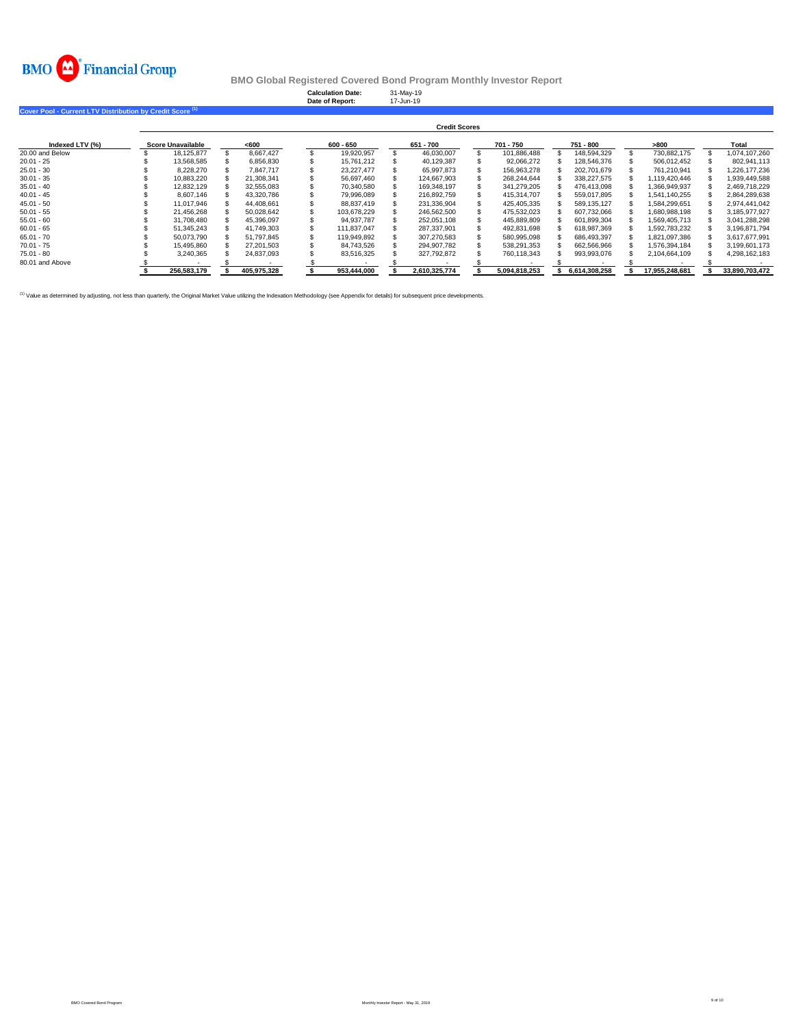

|                                                                      |                      |                          |  |             |  | <b>Calculation Date:</b><br>Date of Report: |  | 31-May-19<br>17-Jun-19 |  |               |               |                |                |
|----------------------------------------------------------------------|----------------------|--------------------------|--|-------------|--|---------------------------------------------|--|------------------------|--|---------------|---------------|----------------|----------------|
| Cover Pool - Current LTV Distribution by Credit Score <sup>(1)</sup> |                      |                          |  |             |  |                                             |  |                        |  |               |               |                |                |
|                                                                      | <b>Credit Scores</b> |                          |  |             |  |                                             |  |                        |  |               |               |                |                |
| Indexed LTV (%)                                                      |                      | <b>Score Unavailable</b> |  | <600        |  | $600 - 650$                                 |  | 651 - 700              |  | 701 - 750     | 751 - 800     | >800           | Total          |
| 20.00 and Below                                                      |                      | 18,125,877               |  | 8.667.427   |  | 19,920,957                                  |  | 46,030,007             |  | 101,886,488   | 148.594.329   | 730,882,175    | 1,074,107,260  |
| $20.01 - 25$                                                         |                      | 13,568,585               |  | 6.856.830   |  | 15.761.212                                  |  | 40,129,387             |  | 92,066,272    | 128,546,376   | 506,012,452    | 802,941,113    |
| $25.01 - 30$                                                         |                      | 8,228,270                |  | 7.847.717   |  | 23,227,477                                  |  | 65,997,873             |  | 156,963,278   | 202,701,679   | 761.210.941    | 1,226,177,236  |
| $30.01 - 35$                                                         |                      | 10,883,220               |  | 21,308,341  |  | 56,697,460                                  |  | 124,667,903            |  | 268,244,644   | 338,227,575   | 1,119,420,446  | 1,939,449,588  |
| $35.01 - 40$                                                         |                      | 12.832.129               |  | 32.555.083  |  | 70.340.580                                  |  | 169.348.197            |  | 341,279,205   | 476.413.098   | 1.366.949.937  | 2,469,718,229  |
| $40.01 - 45$                                                         |                      | 8.607.146                |  | 43.320.786  |  | 79.996.089                                  |  | 216.892.759            |  | 415.314.707   | 559.017.895   | 1,541,140,255  | 2,864,289,638  |
| $45.01 - 50$                                                         |                      | 11.017.946               |  | 44.408.661  |  | 88.837.419                                  |  | 231,336,904            |  | 425,405,335   | 589, 135, 127 | 1.584.299.651  | 2,974,441,042  |
| $50.01 - 55$                                                         |                      | 21,456,268               |  | 50.028.642  |  | 103.678.229                                 |  | 246,562,500            |  | 475,532,023   | 607,732,066   | 1,680,988,198  | 3,185,977,927  |
| $55.01 - 60$                                                         |                      | 31.708.480               |  | 45.396.097  |  | 94.937.787                                  |  | 252.051.108            |  | 445.889.809   | 601.899.304   | 1.569.405.713  | 3.041.288.298  |
| $60.01 - 65$                                                         |                      | 51,345,243               |  | 41,749,303  |  | 111.837.047                                 |  | 287,337,901            |  | 492,831,698   | 618,987,369   | 1,592,783,232  | 3,196,871,794  |
| $65.01 - 70$                                                         |                      | 50,073,790               |  | 51,797,845  |  | 119,949,892                                 |  | 307,270,583            |  | 580,995,098   | 686,493,397   | 1,821,097,386  | 3,617,677,991  |
| $70.01 - 75$                                                         |                      | 15,495,860               |  | 27.201.503  |  | 84.743.526                                  |  | 294.907.782            |  | 538,291,353   | 662,566,966   | 1.576.394.184  | 3,199,601,173  |
| $75.01 - 80$                                                         |                      | 3,240,365                |  | 24,837,093  |  | 83,516,325                                  |  | 327,792,872            |  | 760,118,343   | 993,993,076   | 2,104,664,109  | 4,298,162,183  |
| 80.01 and Above                                                      |                      |                          |  |             |  |                                             |  |                        |  |               |               |                |                |
|                                                                      |                      | 256.583.179              |  | 405.975.328 |  | 953,444,000                                 |  | 2.610.325.774          |  | 5,094,818,253 | 6.614.308.258 | 17.955.248.681 | 33.890.703.472 |

<sup>(1)</sup> Value as determined by adjusting, not less than quarterly, the Original Market Value utilizing the Indexation Methodology (see Appendix for details) for subsequent price developments.